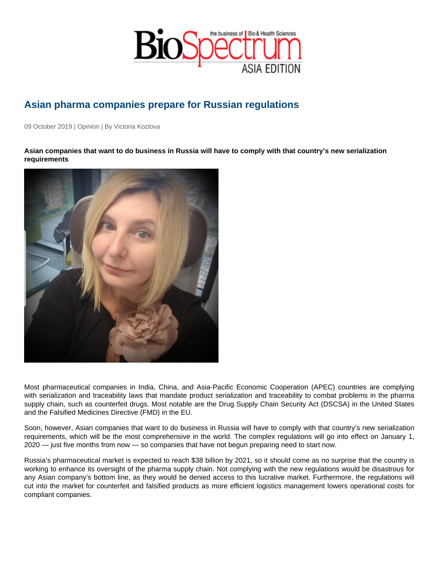## Asian pharma companies prepare for Russian regulations

09 October 2019 | Opinion | By Victoria Kozlova

Asian companies that want to do business in Russia will have to comply with that country's new serialization requirements

Most pharmaceutical companies in India, China, and Asia-Pacific Economic Cooperation (APEC) countries are complying with serialization and traceability laws that mandate product serialization and traceability to combat problems in the pharma supply chain, such as counterfeit drugs. Most notable are the Drug Supply Chain Security Act (DSCSA) in the United States and the Falsified Medicines Directive (FMD) in the EU.

Soon, however, Asian companies that want to do business in Russia will have to comply with that country's new serialization requirements, which will be the most comprehensive in the world. The complex regulations will go into effect on January 1, 2020 — just five months from now — so companies that have not begun preparing need to start now.

Russia's pharmaceutical market is expected to reach \$38 billion by 2021, so it should come as no surprise that the country is working to enhance its oversight of the pharma supply chain. Not complying with the new regulations would be disastrous for any Asian company's bottom line, as they would be denied access to this lucrative market. Furthermore, the regulations will cut into the market for counterfeit and falsified products as more efficient logistics management lowers operational costs for compliant companies.